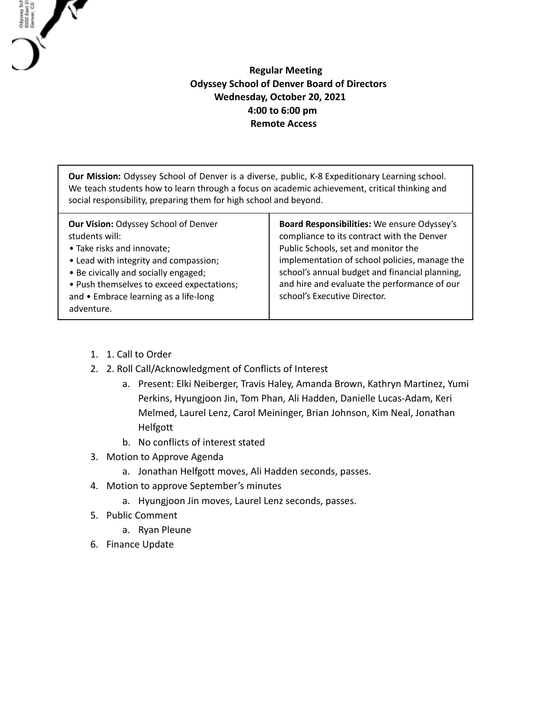## **Regular Meeting Odyssey School of Denver Board of Directors Wednesday, October 20, 2021 4:00 to 6:00 pm Remote Access**

**Our Mission:** Odyssey School of Denver is a diverse, public, K-8 Expeditionary Learning school. We teach students how to learn through a focus on academic achievement, critical thinking and social responsibility, preparing them for high school and beyond.

1. 1. Call to Order

Odysey Sch<br>6550 East 21<br>Denver, CO

- 2. 2. Roll Call/Acknowledgment of Conflicts of Interest
	- a. Present: Elki Neiberger, Travis Haley, Amanda Brown, Kathryn Martinez, Yumi Perkins, Hyungjoon Jin, Tom Phan, Ali Hadden, Danielle Lucas-Adam, Keri Melmed, Laurel Lenz, Carol Meininger, Brian Johnson, Kim Neal, Jonathan Helfgott
	- b. No conflicts of interest stated
- 3. Motion to Approve Agenda
	- a. Jonathan Helfgott moves, Ali Hadden seconds, passes.
- 4. Motion to approve September's minutes
	- a. Hyungjoon Jin moves, Laurel Lenz seconds, passes.
- 5. Public Comment
	- a. Ryan Pleune
- 6. Finance Update